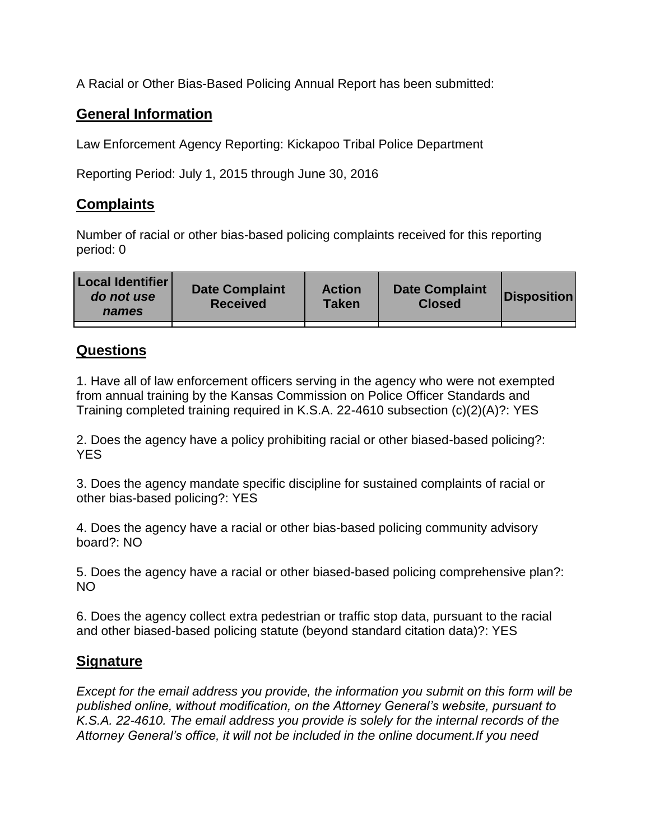A Racial or Other Bias-Based Policing Annual Report has been submitted:

## **General Information**

Law Enforcement Agency Reporting: Kickapoo Tribal Police Department

Reporting Period: July 1, 2015 through June 30, 2016

## **Complaints**

Number of racial or other bias-based policing complaints received for this reporting period: 0

| <b>Local Identifier</b><br>do not use<br>names | <b>Date Complaint</b><br><b>Received</b> | <b>Action</b><br><b>Taken</b> | <b>Date Complaint</b><br><b>Closed</b> | Disposition |
|------------------------------------------------|------------------------------------------|-------------------------------|----------------------------------------|-------------|
|                                                |                                          |                               |                                        |             |

## **Questions**

1. Have all of law enforcement officers serving in the agency who were not exempted from annual training by the Kansas Commission on Police Officer Standards and Training completed training required in K.S.A. 22-4610 subsection (c)(2)(A)?: YES

2. Does the agency have a policy prohibiting racial or other biased-based policing?: YES

3. Does the agency mandate specific discipline for sustained complaints of racial or other bias-based policing?: YES

4. Does the agency have a racial or other bias-based policing community advisory board?: NO

5. Does the agency have a racial or other biased-based policing comprehensive plan?: NO

6. Does the agency collect extra pedestrian or traffic stop data, pursuant to the racial and other biased-based policing statute (beyond standard citation data)?: YES

## **Signature**

*Except for the email address you provide, the information you submit on this form will be published online, without modification, on the Attorney General's website, pursuant to K.S.A. 22-4610. The email address you provide is solely for the internal records of the Attorney General's office, it will not be included in the online document.If you need*